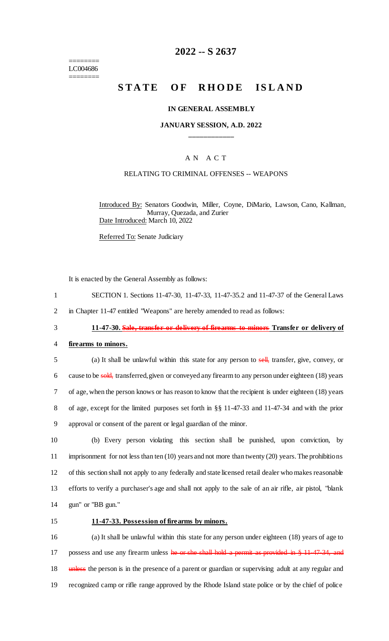======== LC004686 ========

## **2022 -- S 2637**

# **STATE OF RHODE ISLAND**

#### **IN GENERAL ASSEMBLY**

### **JANUARY SESSION, A.D. 2022 \_\_\_\_\_\_\_\_\_\_\_\_**

### A N A C T

### RELATING TO CRIMINAL OFFENSES -- WEAPONS

Introduced By: Senators Goodwin, Miller, Coyne, DiMario, Lawson, Cano, Kallman, Murray, Quezada, and Zurier Date Introduced: March 10, 2022

Referred To: Senate Judiciary

It is enacted by the General Assembly as follows:

- 1 SECTION 1. Sections 11-47-30, 11-47-33, 11-47-35.2 and 11-47-37 of the General Laws
- 2 in Chapter 11-47 entitled "Weapons" are hereby amended to read as follows:

### 3 **11-47-30. Sale, transfer or delivery of firearms to minors Transfer or delivery of**

#### 4 **firearms to minors.**

5 (a) It shall be unlawful within this state for any person to sell, transfer, give, convey, or 6 cause to be sold, transferred, given or conveyed any firearm to any person under eighteen (18) years 7 of age, when the person knows or has reason to know that the recipient is under eighteen (18) years 8 of age, except for the limited purposes set forth in §§ 11-47-33 and 11-47-34 and with the prior 9 approval or consent of the parent or legal guardian of the minor.

 (b) Every person violating this section shall be punished, upon conviction, by imprisonment for not less than ten (10) years and not more than twenty (20) years. The prohibitions 12 of this section shall not apply to any federally and state licensed retail dealer who makes reasonable efforts to verify a purchaser's age and shall not apply to the sale of an air rifle, air pistol, "blank gun" or "BB gun."

#### 15 **11-47-33. Possession of firearms by minors.**

16 (a) It shall be unlawful within this state for any person under eighteen (18) years of age to 17 possess and use any firearm unless he or she shall hold a permit as provided in § 11-47-34, and 18 unless the person is in the presence of a parent or guardian or supervising adult at any regular and 19 recognized camp or rifle range approved by the Rhode Island state police or by the chief of police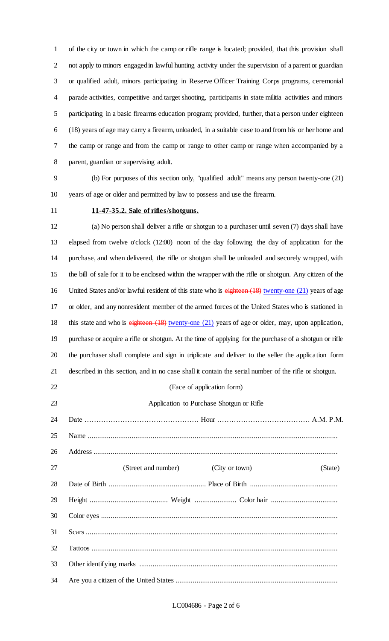of the city or town in which the camp or rifle range is located; provided, that this provision shall not apply to minors engaged in lawful hunting activity under the supervision of a parent or guardian or qualified adult, minors participating in Reserve Officer Training Corps programs, ceremonial parade activities, competitive and target shooting, participants in state militia activities and minors participating in a basic firearms education program; provided, further, that a person under eighteen (18) years of age may carry a firearm, unloaded, in a suitable case to and from his or her home and the camp or range and from the camp or range to other camp or range when accompanied by a parent, guardian or supervising adult.

 (b) For purposes of this section only, "qualified adult" means any person twenty-one (21) years of age or older and permitted by law to possess and use the firearm.

### **11-47-35.2. Sale of rifles/shotguns.**

 (a) No person shall deliver a rifle or shotgun to a purchaser until seven (7) days shall have elapsed from twelve o'clock (12:00) noon of the day following the day of application for the purchase, and when delivered, the rifle or shotgun shall be unloaded and securely wrapped, with the bill of sale for it to be enclosed within the wrapper with the rifle or shotgun. Any citizen of the 16 United States and/or lawful resident of this state who is eighteen (18) twenty-one (21) years of age or older, and any nonresident member of the armed forces of the United States who is stationed in 18 this state and who is eighteen (18) twenty-one (21) years of age or older, may, upon application, purchase or acquire a rifle or shotgun. At the time of applying for the purchase of a shotgun or rifle the purchaser shall complete and sign in triplicate and deliver to the seller the application form described in this section, and in no case shall it contain the serial number of the rifle or shotgun. (Face of application form) Application to Purchase Shotgun or Rifle Date ………………………………………… Hour ………………………………… A.M. P.M. Name ................................................................................................................................... Address ................................................................................................................................ 27 (Street and number) (City or town) (State)

| 29 |  |
|----|--|
|    |  |
|    |  |
| 32 |  |
|    |  |
| 34 |  |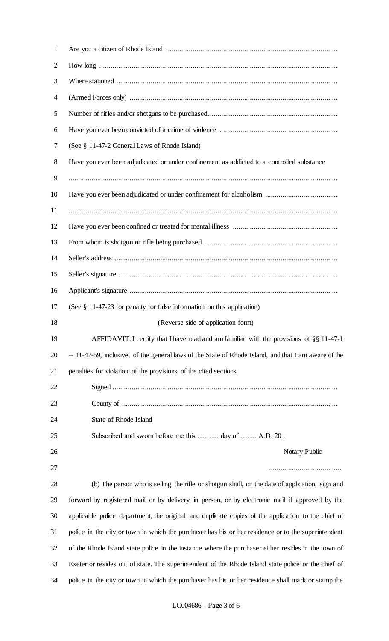| $\mathbf{1}$ |                                                                                                      |
|--------------|------------------------------------------------------------------------------------------------------|
| 2            |                                                                                                      |
| 3            |                                                                                                      |
| 4            |                                                                                                      |
| 5            |                                                                                                      |
| 6            |                                                                                                      |
| 7            | (See § 11-47-2 General Laws of Rhode Island)                                                         |
| 8            | Have you ever been adjudicated or under confinement as addicted to a controlled substance            |
| 9            |                                                                                                      |
| 10           |                                                                                                      |
| 11           |                                                                                                      |
| 12           |                                                                                                      |
| 13           |                                                                                                      |
| 14           |                                                                                                      |
| 15           |                                                                                                      |
| 16           |                                                                                                      |
| 17           | (See $\S$ 11-47-23 for penalty for false information on this application)                            |
| 18           | (Reverse side of application form)                                                                   |
| 19           | AFFIDAVIT: I certify that I have read and am familiar with the provisions of §§ 11-47-1              |
| 20           | -- 11-47-59, inclusive, of the general laws of the State of Rhode Island, and that I am aware of the |
| 21           | penalties for violation of the provisions of the cited sections.                                     |
| 22           |                                                                                                      |
| 23           |                                                                                                      |
| 24           | State of Rhode Island                                                                                |
| 25           | Subscribed and sworn before me this  day of  A.D. 20                                                 |
| 26           | Notary Public                                                                                        |
| 27           |                                                                                                      |
| 28           | (b) The person who is selling the rifle or shotgun shall, on the date of application, sign and       |
| 29           | forward by registered mail or by delivery in person, or by electronic mail if approved by the        |
| 30           | applicable police department, the original and duplicate copies of the application to the chief of   |
| 31           | police in the city or town in which the purchaser has his or her residence or to the superintendent  |
| 32           | of the Rhode Island state police in the instance where the purchaser either resides in the town of   |
| 33           | Exeter or resides out of state. The superintendent of the Rhode Island state police or the chief of  |
| 34           | police in the city or town in which the purchaser has his or her residence shall mark or stamp the   |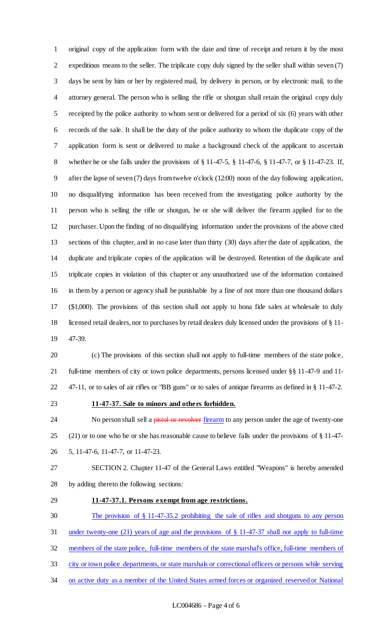original copy of the application form with the date and time of receipt and return it by the most expeditious means to the seller. The triplicate copy duly signed by the seller shall within seven (7) days be sent by him or her by registered mail, by delivery in person, or by electronic mail, to the attorney general. The person who is selling the rifle or shotgun shall retain the original copy duly receipted by the police authority to whom sent or delivered for a period of six (6) years with other records of the sale. It shall be the duty of the police authority to whom the duplicate copy of the application form is sent or delivered to make a background check of the applicant to ascertain whether he or she falls under the provisions of § 11-47-5, § 11-47-6, § 11-47-7, or § 11-47-23. If, after the lapse of seven (7) days from twelve o'clock (12:00) noon of the day following application, no disqualifying information has been received from the investigating police authority by the person who is selling the rifle or shotgun, he or she will deliver the firearm applied for to the purchaser. Upon the finding of no disqualifying information under the provisions of the above cited sections of this chapter, and in no case later than thirty (30) days after the date of application, the duplicate and triplicate copies of the application will be destroyed. Retention of the duplicate and triplicate copies in violation of this chapter or any unauthorized use of the information contained in them by a person or agency shall be punishable by a fine of not more than one thousand dollars (\$1,000). The provisions of this section shall not apply to bona fide sales at wholesale to duly licensed retail dealers, nor to purchases by retail dealers duly licensed under the provisions of § 11- 47-39.

 (c) The provisions of this section shall not apply to full-time members of the state police, full-time members of city or town police departments, persons licensed under §§ 11-47-9 and 11- 47-11, or to sales of air rifles or "BB guns" or to sales of antique firearms as defined in § 11-47-2.

### **11-47-37. Sale to minors and others forbidden.**

24 No person shall sell a pistol or revolver firearm to any person under the age of twenty-one (21) or to one who he or she has reasonable cause to believe falls under the provisions of § 11-47- 5, 11-47-6, 11-47-7, or 11-47-23.

 SECTION 2. Chapter 11-47 of the General Laws entitled "Weapons" is hereby amended by adding thereto the following sections:

### **11-47-37.1. Persons exempt from age restrictions.**

The provision of § 11-47-35.2 prohibiting the sale of rifles and shotguns to any person

under twenty-one (21) years of age and the provisions of § 11-47-37 shall not apply to full-time

members of the state police, full-time members of the state marshal's office, full-time members of

- city or town police departments, or state marshals or correctional officers or persons while serving
- 34 on active duty as a member of the United States armed forces or organized reserved or National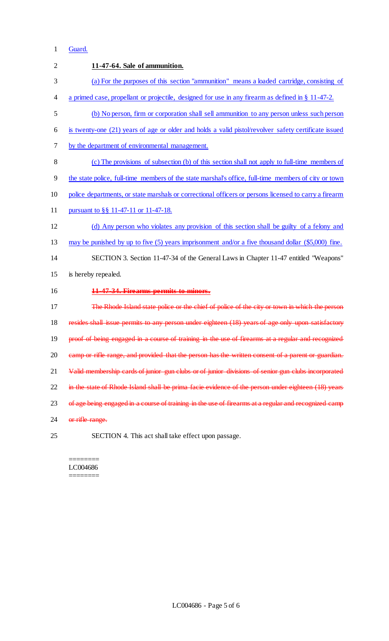## Guard.

| $\overline{2}$ | 11-47-64. Sale of ammunition.                                                                          |
|----------------|--------------------------------------------------------------------------------------------------------|
| 3              | (a) For the purposes of this section "ammunition" means a loaded cartridge, consisting of              |
| 4              | a primed case, propellant or projectile, designed for use in any firearm as defined in $\S$ 11-47-2.   |
| 5              | (b) No person, firm or corporation shall sell ammunition to any person unless such person              |
| 6              | is twenty-one (21) years of age or older and holds a valid pistol/revolver safety certificate issued   |
| 7              | by the department of environmental management.                                                         |
| 8              | (c) The provisions of subsection (b) of this section shall not apply to full-time members of           |
| 9              | the state police, full-time members of the state marshal's office, full-time members of city or town   |
| 10             | police departments, or state marshals or correctional officers or persons licensed to carry a firearm  |
| 11             | pursuant to §§ 11-47-11 or 11-47-18.                                                                   |
| 12             | (d) Any person who violates any provision of this section shall be guilty of a felony and              |
| 13             | may be punished by up to five $(5)$ years imprisonment and/or a five thousand dollar $(\$5,000)$ fine. |
| 14             | SECTION 3. Section 11-47-34 of the General Laws in Chapter 11-47 entitled "Weapons"                    |
| 15             | is hereby repealed.                                                                                    |
| 16             | 11-47-34. Firearms permits to minors.                                                                  |
| 17             | The Rhode Island state police or the chief of police of the city or town in which the person           |
| 18             | resides shall issue permits to any person under eighteen (18) years of age only upon satisfactory      |
| 19             | proof of being engaged in a course of training in the use of firearms at a regular and recognized      |
| 20             | camp or rifle range, and provided that the person has the written consent of a parent or guardian.     |
| 21             | Valid membership cards of junior gun clubs or of junior divisions of senior gun clubs incorporated     |
| 22             | in the state of Rhode Island shall be prima facie evidence of the person under eighteen (18) years     |
| 23             | of age being engaged in a course of training in the use of firearms at a regular and recognized camp   |
| 24             | or rifle range.                                                                                        |
| 25             | SECTION 4. This act shall take effect upon passage.                                                    |

======== LC004686 ========